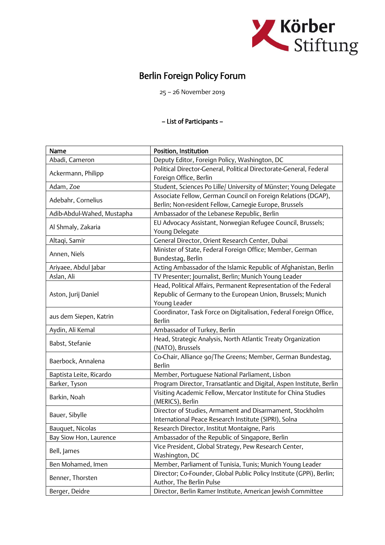

## Berlin Foreign Policy Forum

25 – 26 November 2019

## – List of Participants –

| Name                       | Position, Institution                                                |
|----------------------------|----------------------------------------------------------------------|
| Abadi, Cameron             | Deputy Editor, Foreign Policy, Washington, DC                        |
| Ackermann, Philipp         | Political Director-General, Political Directorate-General, Federal   |
|                            | Foreign Office, Berlin                                               |
| Adam, Zoe                  | Student, Sciences Po Lille/ University of Münster; Young Delegate    |
|                            | Associate Fellow, German Council on Foreign Relations (DGAP),        |
| Adebahr, Cornelius         | Berlin; Non-resident Fellow, Carnegie Europe, Brussels               |
| Adib-Abdul-Wahed, Mustapha | Ambassador of the Lebanese Republic, Berlin                          |
|                            | EU Advocacy Assistant, Norwegian Refugee Council, Brussels;          |
| Al Shmaly, Zakaria         | Young Delegate                                                       |
| Altaqi, Samir              | General Director, Orient Research Center, Dubai                      |
|                            | Minister of State, Federal Foreign Office; Member, German            |
| Annen, Niels               | Bundestag, Berlin                                                    |
| Ariyaee, Abdul Jabar       | Acting Ambassador of the Islamic Republic of Afghanistan, Berlin     |
| Aslan, Ali                 | TV Presenter; Journalist, Berlin; Munich Young Leader                |
|                            | Head, Political Affairs, Permanent Representation of the Federal     |
| Aston, Jurij Daniel        | Republic of Germany to the European Union, Brussels; Munich          |
|                            | Young Leader                                                         |
|                            | Coordinator, Task Force on Digitalisation, Federal Foreign Office,   |
| aus dem Siepen, Katrin     | <b>Berlin</b>                                                        |
| Aydin, Ali Kemal           | Ambassador of Turkey, Berlin                                         |
|                            | Head, Strategic Analysis, North Atlantic Treaty Organization         |
| Babst, Stefanie            | (NATO), Brussels                                                     |
| Baerbock, Annalena         | Co-Chair, Alliance 90/The Greens; Member, German Bundestag,          |
|                            | <b>Berlin</b>                                                        |
| Baptista Leite, Ricardo    | Member, Portuguese National Parliament, Lisbon                       |
| Barker, Tyson              | Program Director, Transatlantic and Digital, Aspen Institute, Berlin |
| Barkin, Noah               | Visiting Academic Fellow, Mercator Institute for China Studies       |
|                            | (MERICS), Berlin                                                     |
| Bauer, Sibylle             | Director of Studies, Armament and Disarmament, Stockholm             |
|                            | International Peace Research Institute (SIPRI), Solna                |
| Bauquet, Nicolas           | Research Director, Institut Montaigne, Paris                         |
| Bay Siow Hon, Laurence     | Ambassador of the Republic of Singapore, Berlin                      |
| Bell, James                | Vice President, Global Strategy, Pew Research Center,                |
|                            | Washington, DC                                                       |
| Ben Mohamed, Imen          | Member, Parliament of Tunisia, Tunis; Munich Young Leader            |
| Benner, Thorsten           | Director; Co-Founder, Global Public Policy Institute (GPPi), Berlin; |
|                            | Author, The Berlin Pulse                                             |
| Berger, Deidre             | Director, Berlin Ramer Institute, American Jewish Committee          |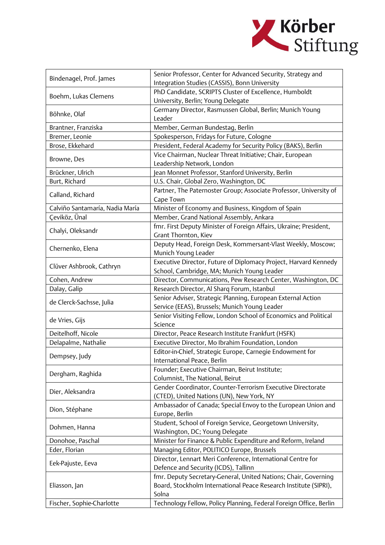

| Bindenagel, Prof. James         | Senior Professor, Center for Advanced Security, Strategy and                                 |
|---------------------------------|----------------------------------------------------------------------------------------------|
|                                 | Integration Studies (CASSIS), Bonn University                                                |
| Boehm, Lukas Clemens            | PhD Candidate, SCRIPTS Cluster of Excellence, Humboldt<br>University, Berlin; Young Delegate |
|                                 | Germany Director, Rasmussen Global, Berlin; Munich Young                                     |
| Böhnke, Olaf                    | Leader                                                                                       |
| Brantner, Franziska             | Member, German Bundestag, Berlin                                                             |
| Bremer, Leonie                  | Spokesperson, Fridays for Future, Cologne                                                    |
| Brose, Ekkehard                 | President, Federal Academy for Security Policy (BAKS), Berlin                                |
|                                 | Vice Chairman, Nuclear Threat Initiative; Chair, European                                    |
| Browne, Des                     | Leadership Network, London                                                                   |
| Brückner, Ulrich                | Jean Monnet Professor, Stanford University, Berlin                                           |
| Burt, Richard                   | U.S. Chair, Global Zero, Washington, DC                                                      |
|                                 | Partner, The Paternoster Group; Associate Professor, University of                           |
| Calland, Richard                | Cape Town                                                                                    |
| Calviño Santamaría, Nadia María | Minister of Economy and Business, Kingdom of Spain                                           |
| Çeviköz, Ünal                   | Member, Grand National Assembly, Ankara                                                      |
|                                 | fmr. First Deputy Minister of Foreign Affairs, Ukraine; President,                           |
| Chalyi, Oleksandr               | Grant Thornton, Kiev                                                                         |
|                                 | Deputy Head, Foreign Desk, Kommersant-Vlast Weekly, Moscow;                                  |
| Chernenko, Elena                | Munich Young Leader                                                                          |
|                                 | Executive Director, Future of Diplomacy Project, Harvard Kennedy                             |
| Clüver Ashbrook, Cathryn        | School, Cambridge, MA; Munich Young Leader                                                   |
| Cohen, Andrew                   | Director, Communications, Pew Research Center, Washington, DC                                |
| Dalay, Galip                    | Research Director, Al Sharq Forum, Istanbul                                                  |
|                                 | Senior Adviser, Strategic Planning, European External Action                                 |
| de Clerck-Sachsse, Julia        | Service (EEAS), Brussels; Munich Young Leader                                                |
|                                 | Senior Visiting Fellow, London School of Economics and Political                             |
| de Vries, Gijs                  | Science                                                                                      |
| Deitelhoff, Nicole              | Director, Peace Research Institute Frankfurt (HSFK)                                          |
| Delapalme, Nathalie             | Executive Director, Mo Ibrahim Foundation, London                                            |
|                                 | Editor-in-Chief, Strategic Europe, Carnegie Endowment for                                    |
| Dempsey, Judy                   | International Peace, Berlin                                                                  |
|                                 | Founder; Executive Chairman, Beirut Institute;                                               |
| Dergham, Raghida                | Columnist, The National, Beirut                                                              |
|                                 | Gender Coordinator, Counter-Terrorism Executive Directorate                                  |
| Dier, Aleksandra                | (CTED), United Nations (UN), New York, NY                                                    |
|                                 | Ambassador of Canada; Special Envoy to the European Union and                                |
| Dion, Stéphane                  | Europe, Berlin                                                                               |
|                                 | Student, School of Foreign Service, Georgetown University,                                   |
| Dohmen, Hanna                   | Washington, DC; Young Delegate                                                               |
| Donohoe, Paschal                | Minister for Finance & Public Expenditure and Reform, Ireland                                |
| Eder, Florian                   | Managing Editor, POLITICO Europe, Brussels                                                   |
| Eek-Pajuste, Eeva               | Director, Lennart Meri Conference, International Centre for                                  |
|                                 | Defence and Security (ICDS), Tallinn                                                         |
|                                 | fmr. Deputy Secretary-General, United Nations; Chair, Governing                              |
| Eliasson, Jan                   | Board, Stockholm International Peace Research Institute (SIPRI),                             |
|                                 | Solna                                                                                        |
| Fischer, Sophie-Charlotte       | Technology Fellow, Policy Planning, Federal Foreign Office, Berlin                           |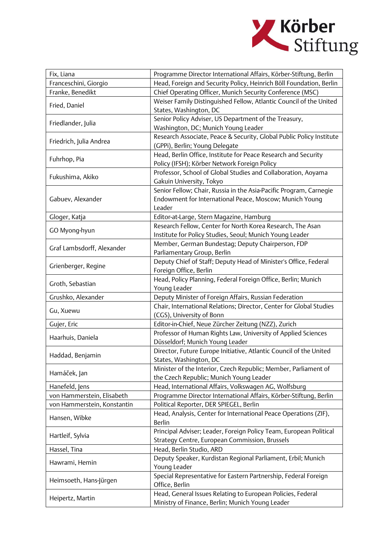

| Fix, Liana                  | Programme Director International Affairs, Körber-Stiftung, Berlin    |
|-----------------------------|----------------------------------------------------------------------|
| Franceschini, Giorgio       | Head, Foreign and Security Policy, Heinrich Böll Foundation, Berlin  |
| Franke, Benedikt            | Chief Operating Officer, Munich Security Conference (MSC)            |
|                             | Weiser Family Distinguished Fellow, Atlantic Council of the United   |
| Fried, Daniel               | States, Washington, DC                                               |
|                             | Senior Policy Adviser, US Department of the Treasury,                |
| Friedlander, Julia          | Washington, DC; Munich Young Leader                                  |
|                             | Research Associate, Peace & Security, Global Public Policy Institute |
| Friedrich, Julia Andrea     | (GPPi), Berlin; Young Delegate                                       |
|                             | Head, Berlin Office, Institute for Peace Research and Security       |
| Fuhrhop, Pia                | Policy (IFSH); Körber Network Foreign Policy                         |
|                             | Professor, School of Global Studies and Collaboration, Aoyama        |
| Fukushima, Akiko            | Gakuin University, Tokyo                                             |
|                             | Senior Fellow; Chair, Russia in the Asia-Pacific Program, Carnegie   |
| Gabuev, Alexander           | Endowment for International Peace, Moscow; Munich Young              |
|                             | Leader                                                               |
| Gloger, Katja               | Editor-at-Large, Stern Magazine, Hamburg                             |
|                             | Research Fellow, Center for North Korea Research, The Asan           |
| GO Myong-hyun               | Institute for Policy Studies, Seoul; Munich Young Leader             |
|                             | Member, German Bundestag; Deputy Chairperson, FDP                    |
| Graf Lambsdorff, Alexander  | Parliamentary Group, Berlin                                          |
|                             | Deputy Chief of Staff; Deputy Head of Minister's Office, Federal     |
| Grienberger, Regine         | Foreign Office, Berlin                                               |
|                             | Head, Policy Planning, Federal Foreign Office, Berlin; Munich        |
| Groth, Sebastian            | Young Leader                                                         |
| Grushko, Alexander          | Deputy Minister of Foreign Affairs, Russian Federation               |
|                             | Chair, International Relations; Director, Center for Global Studies  |
| Gu, Xuewu                   | (CGS), University of Bonn                                            |
| Gujer, Eric                 | Editor-in-Chief, Neue Zürcher Zeitung (NZZ), Zurich                  |
|                             | Professor of Human Rights Law, University of Applied Sciences        |
| Haarhuis, Daniela           | Düsseldorf; Munich Young Leader                                      |
|                             | Director, Future Europe Initiative, Atlantic Council of the United   |
| Haddad, Benjamin            | States, Washington, DC                                               |
|                             | Minister of the Interior, Czech Republic; Member, Parliament of      |
| Hamáček, Jan                | the Czech Republic; Munich Young Leader                              |
| Hanefeld, Jens              | Head, International Affairs, Volkswagen AG, Wolfsburg                |
| von Hammerstein, Elisabeth  | Programme Director International Affairs, Körber-Stiftung, Berlin    |
| von Hammerstein, Konstantin | Political Reporter, DER SPIEGEL, Berlin                              |
|                             | Head, Analysis, Center for International Peace Operations (ZIF),     |
| Hansen, Wibke               | <b>Berlin</b>                                                        |
|                             | Principal Adviser; Leader, Foreign Policy Team, European Political   |
| Hartleif, Sylvia            | Strategy Centre, European Commission, Brussels                       |
| Hassel, Tina                | Head, Berlin Studio, ARD                                             |
| Hawrami, Hemin              | Deputy Speaker, Kurdistan Regional Parliament, Erbil; Munich         |
|                             | Young Leader                                                         |
| Heimsoeth, Hans-Jürgen      | Special Representative for Eastern Partnership, Federal Foreign      |
|                             | Office, Berlin                                                       |
| Heipertz, Martin            | Head, General Issues Relating to European Policies, Federal          |
|                             | Ministry of Finance, Berlin; Munich Young Leader                     |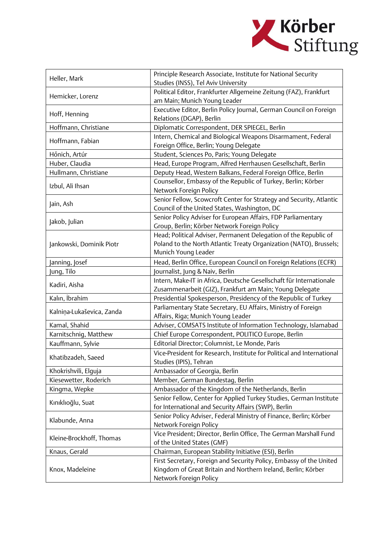

| Heller, Mark              | Principle Research Associate, Institute for National Security                                        |
|---------------------------|------------------------------------------------------------------------------------------------------|
|                           | Studies (INSS), Tel Aviv University                                                                  |
| Hemicker, Lorenz          | Political Editor, Frankfurter Allgemeine Zeitung (FAZ), Frankfurt                                    |
|                           | am Main; Munich Young Leader                                                                         |
| Hoff, Henning             | Executive Editor, Berlin Policy Journal, German Council on Foreign                                   |
| Hoffmann, Christiane      | Relations (DGAP), Berlin<br>Diplomatic Correspondent, DER SPIEGEL, Berlin                            |
|                           | Intern, Chemical and Biological Weapons Disarmament, Federal                                         |
| Hoffmann, Fabian          | Foreign Office, Berlin; Young Delegate                                                               |
| Hőnich, Artúr             | Student, Sciences Po, Paris; Young Delegate                                                          |
| Huber, Claudia            | Head, Europe Program, Alfred Herrhausen Gesellschaft, Berlin                                         |
| Hullmann, Christiane      | Deputy Head, Western Balkans, Federal Foreign Office, Berlin                                         |
|                           | Counsellor, Embassy of the Republic of Turkey, Berlin; Körber                                        |
| Izbul, Ali Ihsan          | Network Foreign Policy                                                                               |
| Jain, Ash                 | Senior Fellow, Scowcroft Center for Strategy and Security, Atlantic                                  |
|                           | Council of the United States, Washington, DC                                                         |
| Jakob, Julian             | Senior Policy Adviser for European Affairs, FDP Parliamentary                                        |
|                           | Group, Berlin; Körber Network Foreign Policy                                                         |
|                           | Head; Political Adviser, Permanent Delegation of the Republic of                                     |
| Jankowski, Dominik Piotr  | Poland to the North Atlantic Treaty Organization (NATO), Brussels;                                   |
|                           | Munich Young Leader                                                                                  |
| Janning, Josef            | Head, Berlin Office, European Council on Foreign Relations (ECFR)                                    |
| Jung, Tilo                | Journalist, Jung & Naiv, Berlin                                                                      |
| Kadiri, Aisha             | Intern, Make-IT in Africa, Deutsche Gesellschaft für Internationale                                  |
|                           | Zusammenarbeit (GIZ), Frankfurt am Main; Young Delegate                                              |
| Kalın, İbrahim            | Presidential Spokesperson, Presidency of the Republic of Turkey                                      |
| Kalniņa-Lukaševica, Zanda | Parliamentary State Secretary, EU Affairs, Ministry of Foreign<br>Affairs, Riga; Munich Young Leader |
| Kamal, Shahid             | Adviser, COMSATS Institute of Information Technology, Islamabad                                      |
| Karnitschnig, Matthew     | Chief Europe Correspondent, POLITICO Europe, Berlin                                                  |
| Kauffmann, Sylvie         | Editorial Director; Columnist, Le Monde, Paris                                                       |
|                           | Vice-President for Research, Institute for Political and International                               |
| Khatibzadeh, Saeed        | Studies (IPIS), Tehran                                                                               |
| Khokrishvili, Elguja      | Ambassador of Georgia, Berlin                                                                        |
| Kiesewetter, Roderich     | Member, German Bundestag, Berlin                                                                     |
| Kingma, Wepke             | Ambassador of the Kingdom of the Netherlands, Berlin                                                 |
|                           | Senior Fellow, Center for Applied Turkey Studies, German Institute                                   |
| Kınıklıoğlu, Suat         | for International and Security Affairs (SWP), Berlin                                                 |
|                           | Senior Policy Adviser, Federal Ministry of Finance, Berlin; Körber                                   |
| Klabunde, Anna            | Network Foreign Policy                                                                               |
| Kleine-Brockhoff, Thomas  | Vice President; Director, Berlin Office, The German Marshall Fund                                    |
|                           | of the United States (GMF)                                                                           |
| Knaus, Gerald             | Chairman, European Stability Initiative (ESI), Berlin                                                |
| Knox, Madeleine           | First Secretary, Foreign and Security Policy, Embassy of the United                                  |
|                           | Kingdom of Great Britain and Northern Ireland, Berlin; Körber                                        |
|                           | Network Foreign Policy                                                                               |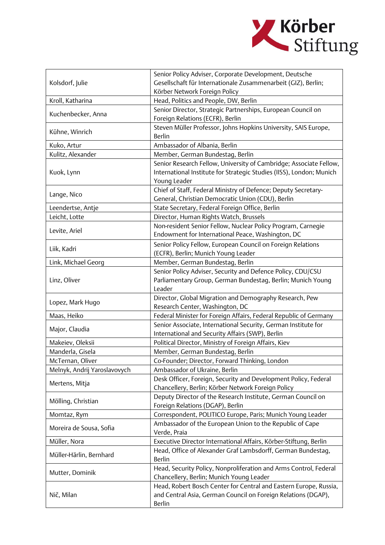

|                              | Senior Policy Adviser, Corporate Development, Deutsche                   |
|------------------------------|--------------------------------------------------------------------------|
| Kolsdorf, Julie              | Gesellschaft für Internationale Zusammenarbeit (GIZ), Berlin;            |
|                              | Körber Network Foreign Policy                                            |
| Kroll, Katharina             | Head, Politics and People, DW, Berlin                                    |
| Kuchenbecker, Anna           | Senior Director, Strategic Partnerships, European Council on             |
|                              | Foreign Relations (ECFR), Berlin                                         |
| Kühne, Winrich               | Steven Müller Professor, Johns Hopkins University, SAIS Europe,          |
|                              | <b>Berlin</b>                                                            |
| Kuko, Artur                  | Ambassador of Albania, Berlin                                            |
| Kulitz, Alexander            | Member, German Bundestag, Berlin                                         |
|                              | Senior Research Fellow, University of Cambridge; Associate Fellow,       |
| Kuok, Lynn                   | International Institute for Strategic Studies (IISS), London; Munich     |
|                              | Young Leader                                                             |
| Lange, Nico                  | Chief of Staff, Federal Ministry of Defence; Deputy Secretary-           |
|                              | General, Christian Democratic Union (CDU), Berlin                        |
| Leendertse, Antje            | State Secretary, Federal Foreign Office, Berlin                          |
| Leicht, Lotte                | Director, Human Rights Watch, Brussels                                   |
| Levite, Ariel                | Non-resident Senior Fellow, Nuclear Policy Program, Carnegie             |
|                              | Endowment for International Peace, Washington, DC                        |
| Liik, Kadri                  | Senior Policy Fellow, European Council on Foreign Relations              |
|                              | (ECFR), Berlin; Munich Young Leader                                      |
| Link, Michael Georg          | Member, German Bundestag, Berlin                                         |
|                              | Senior Policy Adviser, Security and Defence Policy, CDU/CSU              |
| Linz, Oliver                 | Parliamentary Group, German Bundestag, Berlin; Munich Young              |
|                              | Leader                                                                   |
| Lopez, Mark Hugo             | Director, Global Migration and Demography Research, Pew                  |
|                              | Research Center, Washington, DC                                          |
| Maas, Heiko                  | Federal Minister for Foreign Affairs, Federal Republic of Germany        |
| Major, Claudia               | Senior Associate, International Security, German Institute for           |
|                              | International and Security Affairs (SWP), Berlin                         |
| Makeiev, Oleksii             | Political Director, Ministry of Foreign Affairs, Kiev                    |
| Manderla, Gisela             | Member, German Bundestag, Berlin                                         |
| McTernan, Oliver             | Co-Founder; Director, Forward Thinking, London                           |
| Melnyk, Andrij Yaroslavovych | Ambassador of Ukraine, Berlin                                            |
| Mertens, Mitja               | Desk Officer, Foreign, Security and Development Policy, Federal          |
|                              | Chancellery, Berlin; Körber Network Foreign Policy                       |
| Mölling, Christian           | Deputy Director of the Research Institute, German Council on             |
|                              | Foreign Relations (DGAP), Berlin                                         |
| Momtaz, Rym                  | Correspondent, POLITICO Europe, Paris; Munich Young Leader               |
| Moreira de Sousa, Sofia      | Ambassador of the European Union to the Republic of Cape<br>Verde, Praia |
| Müller, Nora                 | Executive Director International Affairs, Körber-Stiftung, Berlin        |
|                              | Head, Office of Alexander Graf Lambsdorff, German Bundestag,             |
| Müller-Härlin, Bernhard      | <b>Berlin</b>                                                            |
|                              | Head, Security Policy, Nonproliferation and Arms Control, Federal        |
| Mutter, Dominik              | Chancellery, Berlin; Munich Young Leader                                 |
|                              | Head, Robert Bosch Center for Central and Eastern Europe, Russia,        |
| Nič, Milan                   | and Central Asia, German Council on Foreign Relations (DGAP),            |
|                              | <b>Berlin</b>                                                            |
|                              |                                                                          |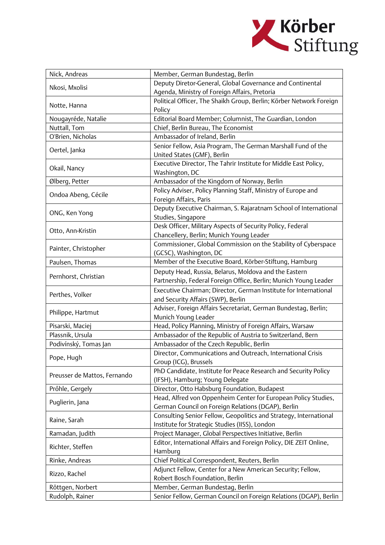

| Nick, Andreas                | Member, German Bundestag, Berlin                                    |
|------------------------------|---------------------------------------------------------------------|
| Nkosi, Mxolisi               | Deputy Diretor-General, Global Governance and Continental           |
|                              | Agenda, Ministry of Foreign Affairs, Pretoria                       |
| Notte, Hanna                 | Political Officer, The Shaikh Group, Berlin; Körber Network Foreign |
|                              | Policy                                                              |
| Nougayréde, Natalie          | Editorial Board Member; Columnist, The Guardian, London             |
| Nuttall, Tom                 | Chief, Berlin Bureau, The Economist                                 |
| O'Brien, Nicholas            | Ambassador of Ireland, Berlin                                       |
|                              | Senior Fellow, Asia Program, The German Marshall Fund of the        |
| Oertel, Janka                | United States (GMF), Berlin                                         |
| Okail, Nancy                 | Executive Director, The Tahrir Institute for Middle East Policy,    |
|                              | Washington, DC                                                      |
| Ølberg, Petter               | Ambassador of the Kingdom of Norway, Berlin                         |
|                              | Policy Adviser, Policy Planning Staff, Ministry of Europe and       |
| Ondoa Abeng, Cécile          | Foreign Affairs, Paris                                              |
| ONG, Ken Yong                | Deputy Executive Chairman, S. Rajaratnam School of International    |
|                              | Studies, Singapore                                                  |
|                              | Desk Officer, Military Aspects of Security Policy, Federal          |
| Otto, Ann-Kristin            | Chancellery, Berlin; Munich Young Leader                            |
| Painter, Christopher         | Commissioner, Global Commission on the Stability of Cyberspace      |
|                              | (GCSC), Washington, DC                                              |
| Paulsen, Thomas              | Member of the Executive Board, Körber-Stiftung, Hamburg             |
|                              | Deputy Head, Russia, Belarus, Moldova and the Eastern               |
| Pernhorst, Christian         | Partnership, Federal Foreign Office, Berlin; Munich Young Leader    |
|                              | Executive Chairman; Director, German Institute for International    |
| Perthes, Volker              | and Security Affairs (SWP), Berlin                                  |
|                              | Adviser, Foreign Affairs Secretariat, German Bundestag, Berlin;     |
| Philippe, Hartmut            | Munich Young Leader                                                 |
| Pisarski, Maciej             | Head, Policy Planning, Ministry of Foreign Affairs, Warsaw          |
| Plassnik, Ursula             | Ambassador of the Republic of Austria to Switzerland, Bern          |
| Podivínský, Tomas Jan        | Ambassador of the Czech Republic, Berlin                            |
|                              | Director, Communications and Outreach, International Crisis         |
| Pope, Hugh                   | Group (ICG), Brussels                                               |
|                              | PhD Candidate, Institute for Peace Research and Security Policy     |
| Preusser de Mattos, Fernando | (IFSH), Hamburg; Young Delegate                                     |
| Prőhle, Gergely              | Director, Otto Habsburg Foundation, Budapest                        |
|                              | Head, Alfred von Oppenheim Center for European Policy Studies,      |
| Puglierin, Jana              | German Council on Foreign Relations (DGAP), Berlin                  |
|                              | Consulting Senior Fellow, Geopolitics and Strategy, International   |
| Raine, Sarah                 | Institute for Strategic Studies (IISS), London                      |
| Ramadan, Judith              | Project Manager, Global Perspectives Initiative, Berlin             |
| Richter, Steffen             | Editor, International Affairs and Foreign Policy, DIE ZEIT Online,  |
|                              | Hamburg                                                             |
| Rinke, Andreas               | Chief Political Correspondent, Reuters, Berlin                      |
| Rizzo, Rachel                | Adjunct Fellow, Center for a New American Security; Fellow,         |
|                              | Robert Bosch Foundation, Berlin                                     |
| Röttgen, Norbert             | Member, German Bundestag, Berlin                                    |
| Rudolph, Rainer              | Senior Fellow, German Council on Foreign Relations (DGAP), Berlin   |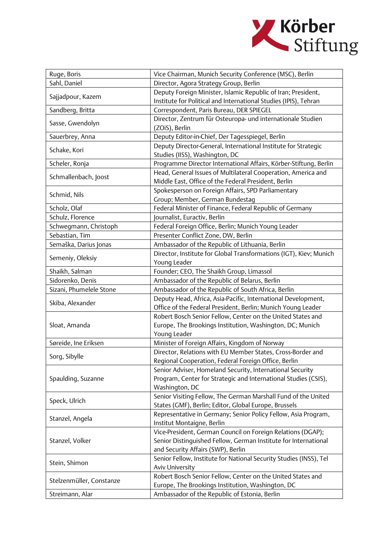

| Ruge, Boris                               | Vice Chairman, Munich Security Conference (MSC), Berlin            |
|-------------------------------------------|--------------------------------------------------------------------|
| Sahl, Daniel                              | Director, Agora Strategy Group, Berlin                             |
| Sajjadpour, Kazem                         | Deputy Foreign Minister, Islamic Republic of Iran; President,      |
|                                           | Institute for Political and International Studies (IPIS), Tehran   |
| Sandberg, Britta                          | Correspondent, Paris Bureau, DER SPIEGEL                           |
| Sasse, Gwendolyn                          | Director, Zentrum für Osteuropa- und internationale Studien        |
|                                           | (ZOIS), Berlin                                                     |
| Sauerbrey, Anna                           | Deputy Editor-in-Chief, Der Tagesspiegel, Berlin                   |
| Schake, Kori                              | Deputy Director-General, International Institute for Strategic     |
|                                           | Studies (IISS), Washington, DC                                     |
| Scheler, Ronja                            | Programme Director International Affairs, Körber-Stiftung, Berlin  |
| Schmallenbach, Joost                      | Head, General Issues of Multilateral Cooperation, America and      |
|                                           | Middle East, Office of the Federal President, Berlin               |
| Schmid, Nils                              | Spokesperson on Foreign Affairs, SPD Parliamentary                 |
|                                           | Group; Member, German Bundestag                                    |
| Scholz, Olaf                              | Federal Minister of Finance, Federal Republic of Germany           |
| Schulz, Florence                          | ournalist, Euractiv, Berlin                                        |
| Schwegmann, Christoph                     | Federal Foreign Office, Berlin; Munich Young Leader                |
| Sebastian, Tim                            | Presenter Conflict Zone, DW, Berlin                                |
| Semaška, Darius Jonas                     | Ambassador of the Republic of Lithuania, Berlin                    |
| Semeniy, Oleksiy                          | Director, Institute for Global Transformations (IGT), Kiev; Munich |
|                                           | Young Leader                                                       |
| Shaikh, Salman                            | Founder; CEO, The Shaikh Group, Limassol                           |
| Sidorenko, Denis                          | Ambassador of the Republic of Belarus, Berlin                      |
| Sizani, Phumelele Stone                   | Ambassador of the Republic of South Africa, Berlin                 |
|                                           | Deputy Head, Africa, Asia-Pacific, International Development,      |
| Skiba, Alexander                          | Office of the Federal President, Berlin; Munich Young Leader       |
|                                           | Robert Bosch Senior Fellow, Center on the United States and        |
| Sloat, Amanda                             | Europe, The Brookings Institution, Washington, DC; Munich          |
|                                           | Young Leader                                                       |
| Søreide, Ine Eriksen                      | Minister of Foreign Affairs, Kingdom of Norway                     |
|                                           | Director, Relations with EU Member States, Cross-Border and        |
| Sorg, Sibylle                             | Regional Cooperation, Federal Foreign Office, Berlin               |
| Spaulding, Suzanne                        | Senior Adviser, Homeland Security, International Security          |
|                                           | Program, Center for Strategic and International Studies (CSIS),    |
|                                           | Washington, DC                                                     |
| Speck, Ulrich                             | Senior Visiting Fellow, The German Marshall Fund of the United     |
|                                           | States (GMF), Berlin; Editor, Global Europe, Brussels              |
| Stanzel, Angela                           | Representative in Germany; Senior Policy Fellow, Asia Program,     |
|                                           | Institut Montaigne, Berlin                                         |
|                                           | Vice-President, German Council on Foreign Relations (DGAP);        |
| Stanzel, Volker                           | Senior Distinguished Fellow, German Institute for International    |
|                                           | and Security Affairs (SWP), Berlin                                 |
| Stein, Shimon<br>Stelzenmüller, Constanze | Senior Fellow, Institute for National Security Studies (INSS), Tel |
|                                           | <b>Aviv University</b>                                             |
|                                           | Robert Bosch Senior Fellow, Center on the United States and        |
|                                           | Europe, The Brookings Institution, Washington, DC                  |
| Streimann, Alar                           | Ambassador of the Republic of Estonia, Berlin                      |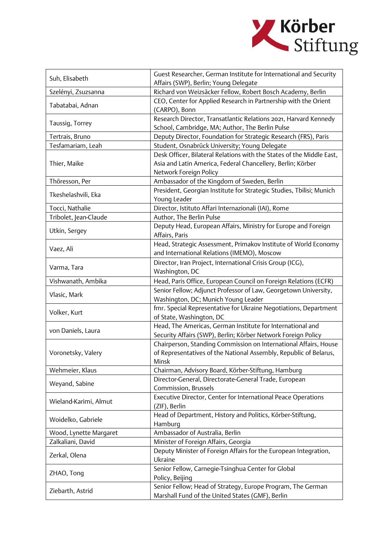

| Suh, Elisabeth         | Guest Researcher, German Institute for International and Security<br>Affairs (SWP), Berlin; Young Delegate |
|------------------------|------------------------------------------------------------------------------------------------------------|
| Szelényi, Zsuzsanna    | Richard von Weizsäcker Fellow, Robert Bosch Academy, Berlin                                                |
|                        | CEO, Center for Applied Research in Partnership with the Orient                                            |
| Tabatabai, Adnan       | (CARPO), Bonn                                                                                              |
|                        | Research Director, Transatlantic Relations 2021, Harvard Kennedy                                           |
| Taussig, Torrey        | School, Cambridge, MA; Author, The Berlin Pulse                                                            |
| Tertrais, Bruno        | Deputy Director, Foundation for Strategic Research (FRS), Paris                                            |
| Tesfamariam, Leah      | Student, Osnabrück University; Young Delegate                                                              |
|                        | Desk Officer, Bilateral Relations with the States of the Middle East,                                      |
|                        | Asia and Latin America, Federal Chancellery, Berlin; Körber                                                |
| Thier, Maike           | Network Foreign Policy                                                                                     |
| Thöresson, Per         | Ambassador of the Kingdom of Sweden, Berlin                                                                |
|                        | President, Georgian Institute for Strategic Studies, Tbilisi; Munich                                       |
| Tkeshelashvili, Eka    | Young Leader                                                                                               |
| Tocci, Nathalie        | Director, Istituto Affari Internazionali (IAI), Rome                                                       |
|                        |                                                                                                            |
| Tribolet, Jean-Claude  | Author, The Berlin Pulse                                                                                   |
| Utkin, Sergey          | Deputy Head, European Affairs, Ministry for Europe and Foreign                                             |
|                        | Affairs, Paris                                                                                             |
| Vaez, Ali              | Head, Strategic Assessment, Primakov Institute of World Economy                                            |
|                        | and International Relations (IMEMO), Moscow                                                                |
| Varma, Tara            | Director, Iran Project, International Crisis Group (ICG),                                                  |
|                        | Washington, DC                                                                                             |
| Vishwanath, Ambika     | Head, Paris Office, European Council on Foreign Relations (ECFR)                                           |
| Vlasic, Mark           | Senior Fellow; Adjunct Professor of Law, Georgetown University,                                            |
|                        | Washington, DC; Munich Young Leader                                                                        |
| Volker, Kurt           | fmr. Special Representative for Ukraine Negotiations, Department                                           |
|                        | of State, Washington, DC                                                                                   |
| von Daniels, Laura     | Head, The Americas, German Institute for International and                                                 |
|                        | Security Affairs (SWP), Berlin; Körber Network Foreign Policy                                              |
|                        | Chairperson, Standing Commission on International Affairs, House                                           |
| Voronetsky, Valery     | of Representatives of the National Assembly, Republic of Belarus,                                          |
|                        | Minsk                                                                                                      |
| Wehmeier, Klaus        | Chairman, Advisory Board, Körber-Stiftung, Hamburg                                                         |
| Weyand, Sabine         | Director-General, Directorate-General Trade, European                                                      |
|                        | Commission, Brussels                                                                                       |
| Wieland-Karimi, Almut  | Executive Director, Center for International Peace Operations                                              |
|                        | (ZIF), Berlin                                                                                              |
|                        | Head of Department, History and Politics, Körber-Stiftung,                                                 |
| Woidelko, Gabriele     | Hamburg                                                                                                    |
| Wood, Lynette Margaret | Ambassador of Australia, Berlin                                                                            |
| Zalkaliani, David      | Minister of Foreign Affairs, Georgia                                                                       |
| Zerkal, Olena          | Deputy Minister of Foreign Affairs for the European Integration,                                           |
|                        | Ukraine                                                                                                    |
| ZHAO, Tong             | Senior Fellow, Carnegie-Tsinghua Center for Global                                                         |
|                        | Policy, Beijing                                                                                            |
| Ziebarth, Astrid       | Senior Fellow; Head of Strategy, Europe Program, The German                                                |
|                        | Marshall Fund of the United States (GMF), Berlin                                                           |